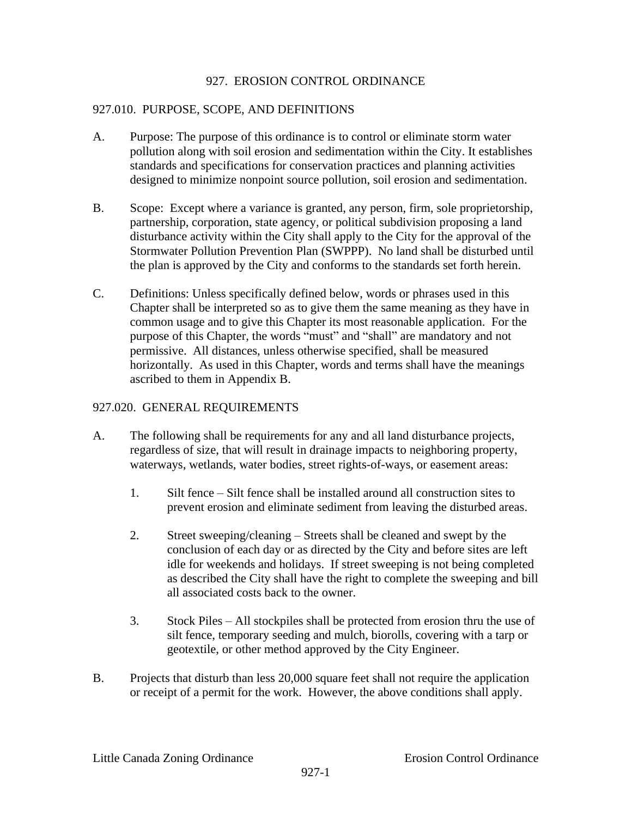### 927. EROSION CONTROL ORDINANCE

## 927.010. PURPOSE, SCOPE, AND DEFINITIONS

- A. Purpose: The purpose of this ordinance is to control or eliminate storm water pollution along with soil erosion and sedimentation within the City. It establishes standards and specifications for conservation practices and planning activities designed to minimize nonpoint source pollution, soil erosion and sedimentation.
- B. Scope: Except where a variance is granted, any person, firm, sole proprietorship, partnership, corporation, state agency, or political subdivision proposing a land disturbance activity within the City shall apply to the City for the approval of the Stormwater Pollution Prevention Plan (SWPPP). No land shall be disturbed until the plan is approved by the City and conforms to the standards set forth herein.
- C. Definitions: Unless specifically defined below, words or phrases used in this Chapter shall be interpreted so as to give them the same meaning as they have in common usage and to give this Chapter its most reasonable application. For the purpose of this Chapter, the words "must" and "shall" are mandatory and not permissive. All distances, unless otherwise specified, shall be measured horizontally. As used in this Chapter, words and terms shall have the meanings ascribed to them in Appendix B.

## 927.020. GENERAL REQUIREMENTS

- A. The following shall be requirements for any and all land disturbance projects, regardless of size, that will result in drainage impacts to neighboring property, waterways, wetlands, water bodies, street rights-of-ways, or easement areas:
	- 1. Silt fence Silt fence shall be installed around all construction sites to prevent erosion and eliminate sediment from leaving the disturbed areas.
	- 2. Street sweeping/cleaning Streets shall be cleaned and swept by the conclusion of each day or as directed by the City and before sites are left idle for weekends and holidays. If street sweeping is not being completed as described the City shall have the right to complete the sweeping and bill all associated costs back to the owner.
	- 3. Stock Piles All stockpiles shall be protected from erosion thru the use of silt fence, temporary seeding and mulch, biorolls, covering with a tarp or geotextile, or other method approved by the City Engineer.
- B. Projects that disturb than less 20,000 square feet shall not require the application or receipt of a permit for the work. However, the above conditions shall apply.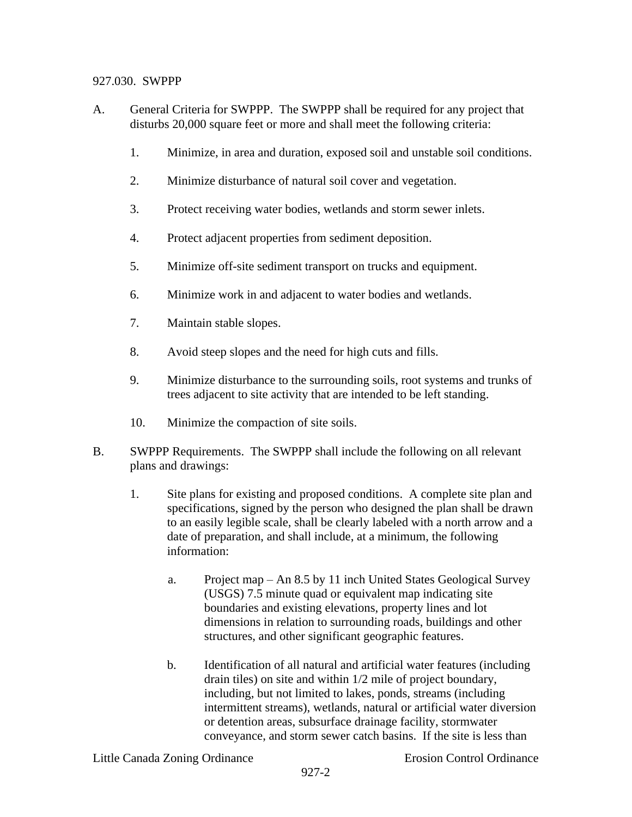### 927.030. SWPPP

- A. General Criteria for SWPPP. The SWPPP shall be required for any project that disturbs 20,000 square feet or more and shall meet the following criteria:
	- 1. Minimize, in area and duration, exposed soil and unstable soil conditions.
	- 2. Minimize disturbance of natural soil cover and vegetation.
	- 3. Protect receiving water bodies, wetlands and storm sewer inlets.
	- 4. Protect adjacent properties from sediment deposition.
	- 5. Minimize off-site sediment transport on trucks and equipment.
	- 6. Minimize work in and adjacent to water bodies and wetlands.
	- 7. Maintain stable slopes.
	- 8. Avoid steep slopes and the need for high cuts and fills.
	- 9. Minimize disturbance to the surrounding soils, root systems and trunks of trees adjacent to site activity that are intended to be left standing.
	- 10. Minimize the compaction of site soils.
- B. SWPPP Requirements.The SWPPP shall include the following on all relevant plans and drawings:
	- 1. Site plans for existing and proposed conditions. A complete site plan and specifications, signed by the person who designed the plan shall be drawn to an easily legible scale, shall be clearly labeled with a north arrow and a date of preparation, and shall include, at a minimum, the following information:
		- a. Project map An 8.5 by 11 inch United States Geological Survey (USGS) 7.5 minute quad or equivalent map indicating site boundaries and existing elevations, property lines and lot dimensions in relation to surrounding roads, buildings and other structures, and other significant geographic features.
		- b. Identification of all natural and artificial water features (including drain tiles) on site and within 1/2 mile of project boundary, including, but not limited to lakes, ponds, streams (including intermittent streams), wetlands, natural or artificial water diversion or detention areas, subsurface drainage facility, stormwater conveyance, and storm sewer catch basins. If the site is less than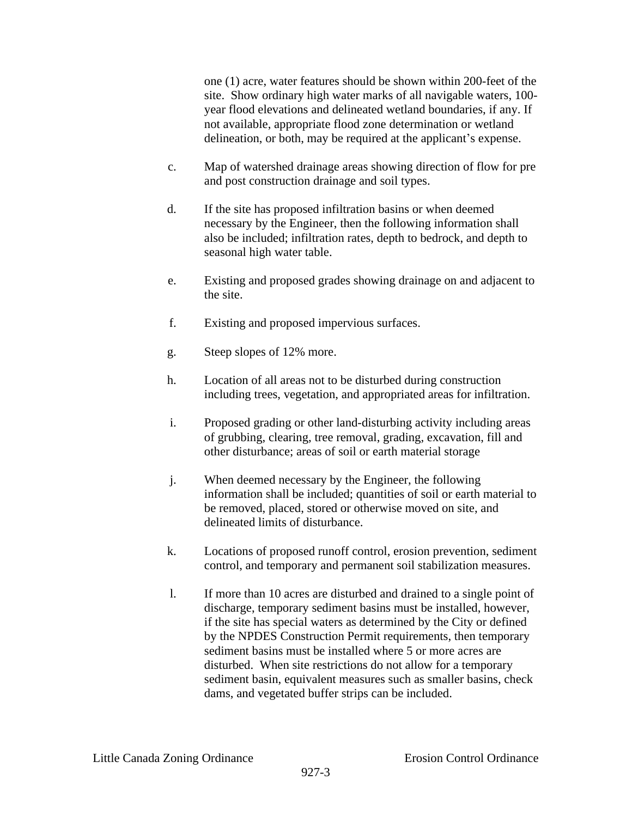one (1) acre, water features should be shown within 200-feet of the site. Show ordinary high water marks of all navigable waters, 100 year flood elevations and delineated wetland boundaries, if any. If not available, appropriate flood zone determination or wetland delineation, or both, may be required at the applicant's expense.

- c. Map of watershed drainage areas showing direction of flow for pre and post construction drainage and soil types.
- d. If the site has proposed infiltration basins or when deemed necessary by the Engineer, then the following information shall also be included; infiltration rates, depth to bedrock, and depth to seasonal high water table.
- e. Existing and proposed grades showing drainage on and adjacent to the site.
- f. Existing and proposed impervious surfaces.
- g. Steep slopes of 12% more.
- h. Location of all areas not to be disturbed during construction including trees, vegetation, and appropriated areas for infiltration.
- i. Proposed grading or other land-disturbing activity including areas of grubbing, clearing, tree removal, grading, excavation, fill and other disturbance; areas of soil or earth material storage
- j. When deemed necessary by the Engineer, the following information shall be included; quantities of soil or earth material to be removed, placed, stored or otherwise moved on site, and delineated limits of disturbance.
- k. Locations of proposed runoff control, erosion prevention, sediment control, and temporary and permanent soil stabilization measures.
- l. If more than 10 acres are disturbed and drained to a single point of discharge, temporary sediment basins must be installed, however, if the site has special waters as determined by the City or defined by the NPDES Construction Permit requirements, then temporary sediment basins must be installed where 5 or more acres are disturbed. When site restrictions do not allow for a temporary sediment basin, equivalent measures such as smaller basins, check dams, and vegetated buffer strips can be included.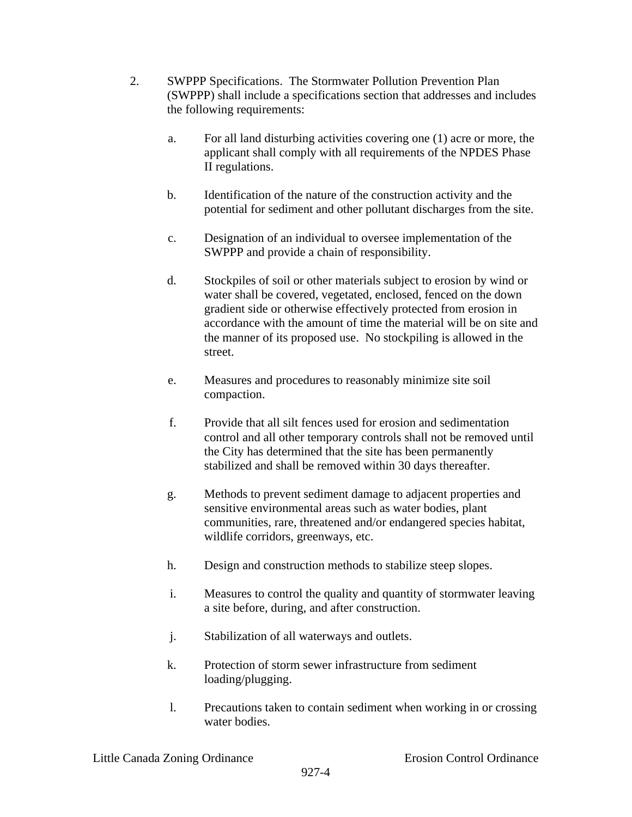- 2. SWPPP Specifications. The Stormwater Pollution Prevention Plan (SWPPP) shall include a specifications section that addresses and includes the following requirements:
	- a. For all land disturbing activities covering one (1) acre or more, the applicant shall comply with all requirements of the NPDES Phase II regulations.
	- b. Identification of the nature of the construction activity and the potential for sediment and other pollutant discharges from the site.
	- c. Designation of an individual to oversee implementation of the SWPPP and provide a chain of responsibility.
	- d. Stockpiles of soil or other materials subject to erosion by wind or water shall be covered, vegetated, enclosed, fenced on the down gradient side or otherwise effectively protected from erosion in accordance with the amount of time the material will be on site and the manner of its proposed use. No stockpiling is allowed in the street.
	- e. Measures and procedures to reasonably minimize site soil compaction.
	- f. Provide that all silt fences used for erosion and sedimentation control and all other temporary controls shall not be removed until the City has determined that the site has been permanently stabilized and shall be removed within 30 days thereafter.
	- g. Methods to prevent sediment damage to adjacent properties and sensitive environmental areas such as water bodies, plant communities, rare, threatened and/or endangered species habitat, wildlife corridors, greenways, etc.
	- h. Design and construction methods to stabilize steep slopes.
	- i. Measures to control the quality and quantity of stormwater leaving a site before, during, and after construction.
	- j. Stabilization of all waterways and outlets.
	- k. Protection of storm sewer infrastructure from sediment loading/plugging.
	- l. Precautions taken to contain sediment when working in or crossing water bodies.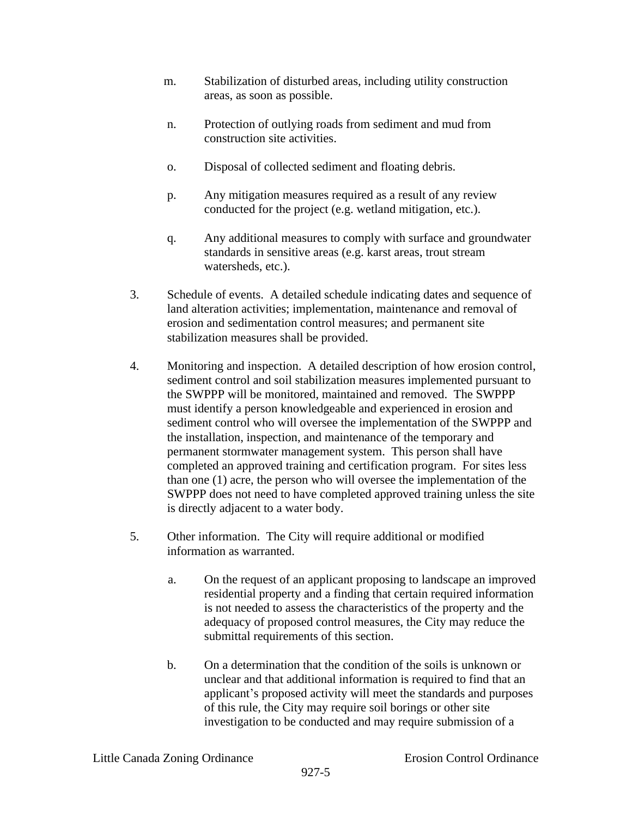- m. Stabilization of disturbed areas, including utility construction areas, as soon as possible.
- n. Protection of outlying roads from sediment and mud from construction site activities.
- o. Disposal of collected sediment and floating debris.
- p. Any mitigation measures required as a result of any review conducted for the project (e.g. wetland mitigation, etc.).
- q. Any additional measures to comply with surface and groundwater standards in sensitive areas (e.g. karst areas, trout stream watersheds, etc.).
- 3. Schedule of events. A detailed schedule indicating dates and sequence of land alteration activities; implementation, maintenance and removal of erosion and sedimentation control measures; and permanent site stabilization measures shall be provided.
- 4. Monitoring and inspection. A detailed description of how erosion control, sediment control and soil stabilization measures implemented pursuant to the SWPPP will be monitored, maintained and removed. The SWPPP must identify a person knowledgeable and experienced in erosion and sediment control who will oversee the implementation of the SWPPP and the installation, inspection, and maintenance of the temporary and permanent stormwater management system. This person shall have completed an approved training and certification program. For sites less than one (1) acre, the person who will oversee the implementation of the SWPPP does not need to have completed approved training unless the site is directly adjacent to a water body.
- 5. Other information. The City will require additional or modified information as warranted.
	- a. On the request of an applicant proposing to landscape an improved residential property and a finding that certain required information is not needed to assess the characteristics of the property and the adequacy of proposed control measures, the City may reduce the submittal requirements of this section.
	- b. On a determination that the condition of the soils is unknown or unclear and that additional information is required to find that an applicant's proposed activity will meet the standards and purposes of this rule, the City may require soil borings or other site investigation to be conducted and may require submission of a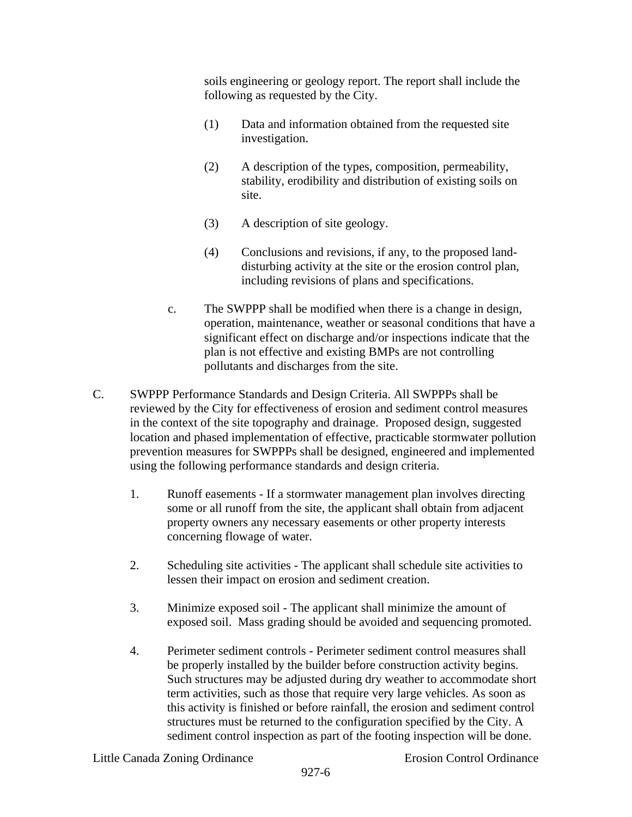soils engineering or geology report. The report shall include the following as requested by the City.

- (1) Data and information obtained from the requested site investigation.
- (2) A description of the types, composition, permeability, stability, erodibility and distribution of existing soils on site.
- (3) A description of site geology.
- (4) Conclusions and revisions, if any, to the proposed landdisturbing activity at the site or the erosion control plan, including revisions of plans and specifications.
- c. The SWPPP shall be modified when there is a change in design, operation, maintenance, weather or seasonal conditions that have a significant effect on discharge and/or inspections indicate that the plan is not effective and existing BMPs are not controlling pollutants and discharges from the site.
- C. SWPPP Performance Standards and Design Criteria. All SWPPPs shall be reviewed by the City for effectiveness of erosion and sediment control measures in the context of the site topography and drainage. Proposed design, suggested location and phased implementation of effective, practicable stormwater pollution prevention measures for SWPPPs shall be designed, engineered and implemented using the following performance standards and design criteria.
	- 1. Runoff easements If a stormwater management plan involves directing some or all runoff from the site, the applicant shall obtain from adjacent property owners any necessary easements or other property interests concerning flowage of water.
	- 2. Scheduling site activities The applicant shall schedule site activities to lessen their impact on erosion and sediment creation.
	- 3. Minimize exposed soil The applicant shall minimize the amount of exposed soil. Mass grading should be avoided and sequencing promoted.
	- 4. Perimeter sediment controls Perimeter sediment control measures shall be properly installed by the builder before construction activity begins. Such structures may be adjusted during dry weather to accommodate short term activities, such as those that require very large vehicles. As soon as this activity is finished or before rainfall, the erosion and sediment control structures must be returned to the configuration specified by the City. A sediment control inspection as part of the footing inspection will be done.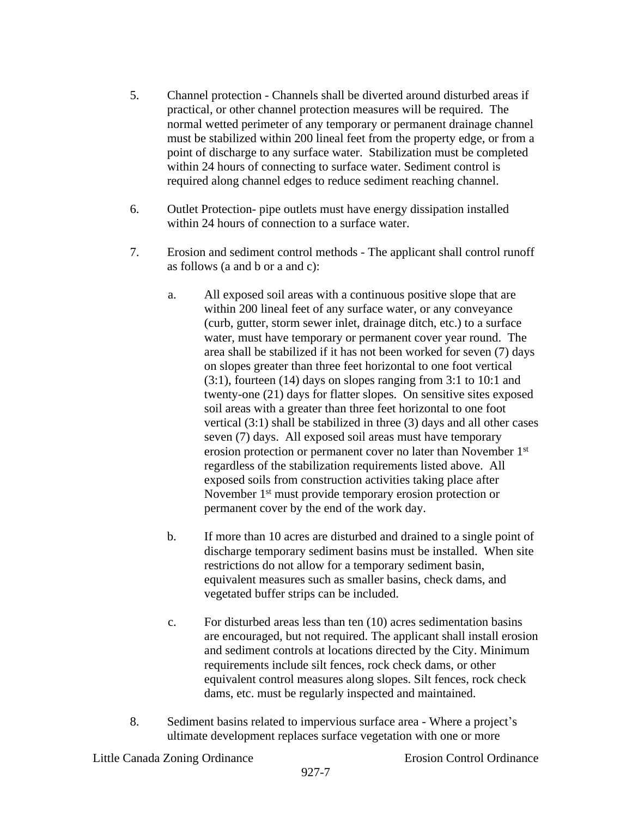- 5. Channel protection Channels shall be diverted around disturbed areas if practical, or other channel protection measures will be required. The normal wetted perimeter of any temporary or permanent drainage channel must be stabilized within 200 lineal feet from the property edge, or from a point of discharge to any surface water. Stabilization must be completed within 24 hours of connecting to surface water. Sediment control is required along channel edges to reduce sediment reaching channel.
- 6. Outlet Protection- pipe outlets must have energy dissipation installed within 24 hours of connection to a surface water.
- 7. Erosion and sediment control methods The applicant shall control runoff as follows (a and b or a and c):
	- a. All exposed soil areas with a continuous positive slope that are within 200 lineal feet of any surface water, or any conveyance (curb, gutter, storm sewer inlet, drainage ditch, etc.) to a surface water, must have temporary or permanent cover year round. The area shall be stabilized if it has not been worked for seven (7) days on slopes greater than three feet horizontal to one foot vertical (3:1), fourteen (14) days on slopes ranging from 3:1 to 10:1 and twenty-one (21) days for flatter slopes. On sensitive sites exposed soil areas with a greater than three feet horizontal to one foot vertical (3:1) shall be stabilized in three (3) days and all other cases seven (7) days. All exposed soil areas must have temporary erosion protection or permanent cover no later than November 1st regardless of the stabilization requirements listed above. All exposed soils from construction activities taking place after November 1<sup>st</sup> must provide temporary erosion protection or permanent cover by the end of the work day.
	- b. If more than 10 acres are disturbed and drained to a single point of discharge temporary sediment basins must be installed. When site restrictions do not allow for a temporary sediment basin, equivalent measures such as smaller basins, check dams, and vegetated buffer strips can be included.
	- c. For disturbed areas less than ten (10) acres sedimentation basins are encouraged, but not required. The applicant shall install erosion and sediment controls at locations directed by the City. Minimum requirements include silt fences, rock check dams, or other equivalent control measures along slopes. Silt fences, rock check dams, etc. must be regularly inspected and maintained.
- 8. Sediment basins related to impervious surface area Where a project's ultimate development replaces surface vegetation with one or more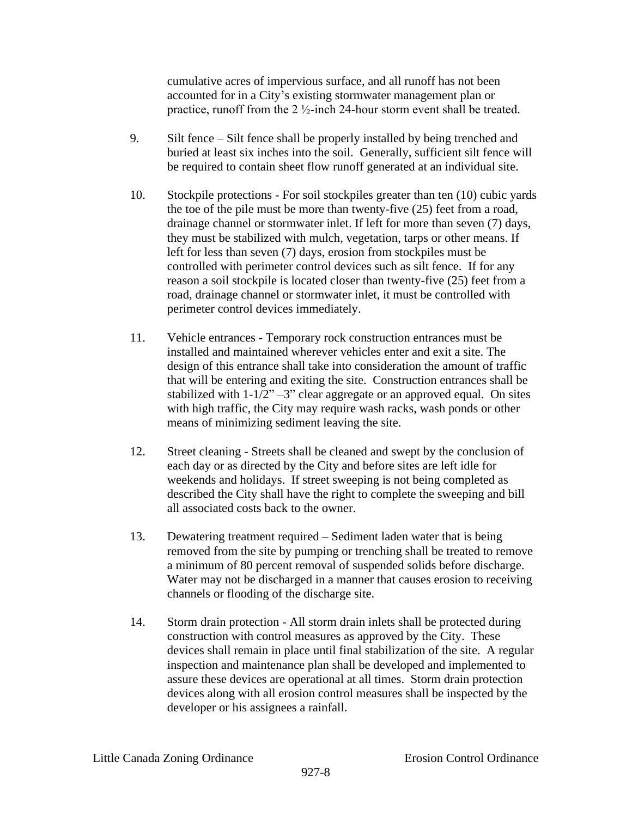cumulative acres of impervious surface, and all runoff has not been accounted for in a City's existing stormwater management plan or practice, runoff from the 2  $\frac{1}{2}$ -inch 24-hour storm event shall be treated.

- 9. Silt fence Silt fence shall be properly installed by being trenched and buried at least six inches into the soil. Generally, sufficient silt fence will be required to contain sheet flow runoff generated at an individual site.
- 10. Stockpile protections For soil stockpiles greater than ten (10) cubic yards the toe of the pile must be more than twenty-five (25) feet from a road, drainage channel or stormwater inlet. If left for more than seven (7) days, they must be stabilized with mulch, vegetation, tarps or other means. If left for less than seven (7) days, erosion from stockpiles must be controlled with perimeter control devices such as silt fence. If for any reason a soil stockpile is located closer than twenty-five (25) feet from a road, drainage channel or stormwater inlet, it must be controlled with perimeter control devices immediately.
- 11. Vehicle entrances Temporary rock construction entrances must be installed and maintained wherever vehicles enter and exit a site. The design of this entrance shall take into consideration the amount of traffic that will be entering and exiting the site. Construction entrances shall be stabilized with  $1-1/2$ "  $-3$ " clear aggregate or an approved equal. On sites with high traffic, the City may require wash racks, wash ponds or other means of minimizing sediment leaving the site.
- 12. Street cleaning Streets shall be cleaned and swept by the conclusion of each day or as directed by the City and before sites are left idle for weekends and holidays. If street sweeping is not being completed as described the City shall have the right to complete the sweeping and bill all associated costs back to the owner.
- 13. Dewatering treatment required Sediment laden water that is being removed from the site by pumping or trenching shall be treated to remove a minimum of 80 percent removal of suspended solids before discharge. Water may not be discharged in a manner that causes erosion to receiving channels or flooding of the discharge site.
- 14. Storm drain protection All storm drain inlets shall be protected during construction with control measures as approved by the City. These devices shall remain in place until final stabilization of the site. A regular inspection and maintenance plan shall be developed and implemented to assure these devices are operational at all times. Storm drain protection devices along with all erosion control measures shall be inspected by the developer or his assignees a rainfall.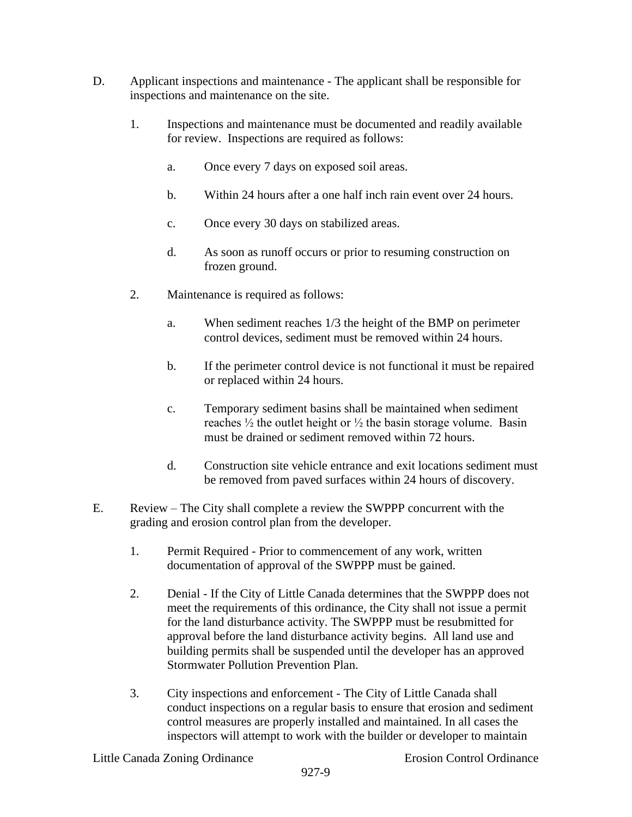- D. Applicant inspections and maintenance The applicant shall be responsible for inspections and maintenance on the site.
	- 1. Inspections and maintenance must be documented and readily available for review. Inspections are required as follows:
		- a. Once every 7 days on exposed soil areas.
		- b. Within 24 hours after a one half inch rain event over 24 hours.
		- c. Once every 30 days on stabilized areas.
		- d. As soon as runoff occurs or prior to resuming construction on frozen ground.
	- 2. Maintenance is required as follows:
		- a. When sediment reaches 1/3 the height of the BMP on perimeter control devices, sediment must be removed within 24 hours.
		- b. If the perimeter control device is not functional it must be repaired or replaced within 24 hours.
		- c. Temporary sediment basins shall be maintained when sediment reaches  $\frac{1}{2}$  the outlet height or  $\frac{1}{2}$  the basin storage volume. Basin must be drained or sediment removed within 72 hours.
		- d. Construction site vehicle entrance and exit locations sediment must be removed from paved surfaces within 24 hours of discovery.
- E. Review The City shall complete a review the SWPPP concurrent with the grading and erosion control plan from the developer.
	- 1. Permit Required Prior to commencement of any work, written documentation of approval of the SWPPP must be gained.
	- 2. Denial If the City of Little Canada determines that the SWPPP does not meet the requirements of this ordinance, the City shall not issue a permit for the land disturbance activity. The SWPPP must be resubmitted for approval before the land disturbance activity begins. All land use and building permits shall be suspended until the developer has an approved Stormwater Pollution Prevention Plan.
	- 3. City inspections and enforcement The City of Little Canada shall conduct inspections on a regular basis to ensure that erosion and sediment control measures are properly installed and maintained. In all cases the inspectors will attempt to work with the builder or developer to maintain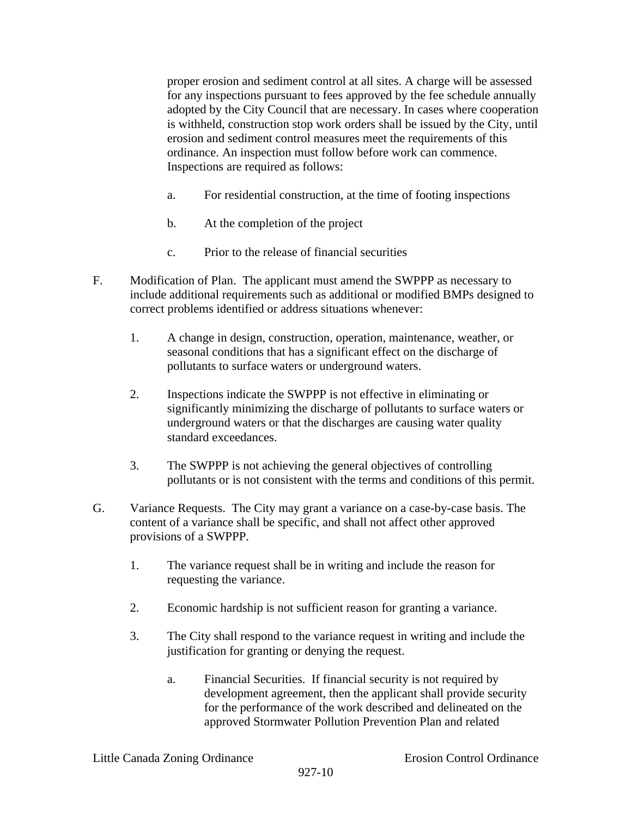proper erosion and sediment control at all sites. A charge will be assessed for any inspections pursuant to fees approved by the fee schedule annually adopted by the City Council that are necessary. In cases where cooperation is withheld, construction stop work orders shall be issued by the City, until erosion and sediment control measures meet the requirements of this ordinance. An inspection must follow before work can commence. Inspections are required as follows:

- a. For residential construction, at the time of footing inspections
- b. At the completion of the project
- c. Prior to the release of financial securities
- F. Modification of Plan. The applicant must amend the SWPPP as necessary to include additional requirements such as additional or modified BMPs designed to correct problems identified or address situations whenever:
	- 1. A change in design, construction, operation, maintenance, weather, or seasonal conditions that has a significant effect on the discharge of pollutants to surface waters or underground waters.
	- 2. Inspections indicate the SWPPP is not effective in eliminating or significantly minimizing the discharge of pollutants to surface waters or underground waters or that the discharges are causing water quality standard exceedances.
	- 3. The SWPPP is not achieving the general objectives of controlling pollutants or is not consistent with the terms and conditions of this permit.
- G. Variance Requests. The City may grant a variance on a case-by-case basis. The content of a variance shall be specific, and shall not affect other approved provisions of a SWPPP.
	- 1. The variance request shall be in writing and include the reason for requesting the variance.
	- 2. Economic hardship is not sufficient reason for granting a variance.
	- 3. The City shall respond to the variance request in writing and include the justification for granting or denying the request.
		- a. Financial Securities. If financial security is not required by development agreement, then the applicant shall provide security for the performance of the work described and delineated on the approved Stormwater Pollution Prevention Plan and related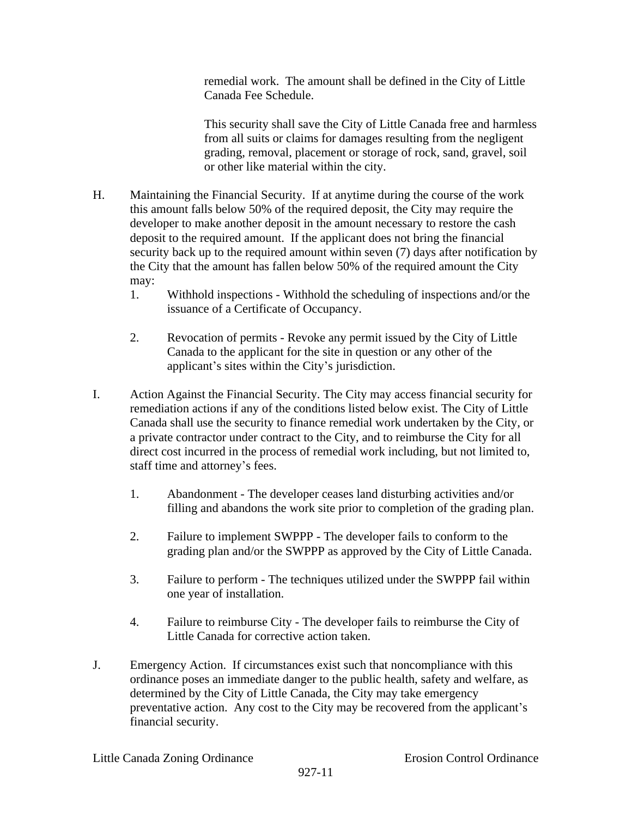remedial work. The amount shall be defined in the City of Little Canada Fee Schedule.

This security shall save the City of Little Canada free and harmless from all suits or claims for damages resulting from the negligent grading, removal, placement or storage of rock, sand, gravel, soil or other like material within the city.

- H. Maintaining the Financial Security. If at anytime during the course of the work this amount falls below 50% of the required deposit, the City may require the developer to make another deposit in the amount necessary to restore the cash deposit to the required amount. If the applicant does not bring the financial security back up to the required amount within seven (7) days after notification by the City that the amount has fallen below 50% of the required amount the City may:
	- 1. Withhold inspections Withhold the scheduling of inspections and/or the issuance of a Certificate of Occupancy.
	- 2. Revocation of permits Revoke any permit issued by the City of Little Canada to the applicant for the site in question or any other of the applicant's sites within the City's jurisdiction.
- I. Action Against the Financial Security. The City may access financial security for remediation actions if any of the conditions listed below exist. The City of Little Canada shall use the security to finance remedial work undertaken by the City, or a private contractor under contract to the City, and to reimburse the City for all direct cost incurred in the process of remedial work including, but not limited to, staff time and attorney's fees.
	- 1. Abandonment The developer ceases land disturbing activities and/or filling and abandons the work site prior to completion of the grading plan.
	- 2. Failure to implement SWPPP The developer fails to conform to the grading plan and/or the SWPPP as approved by the City of Little Canada.
	- 3. Failure to perform The techniques utilized under the SWPPP fail within one year of installation.
	- 4. Failure to reimburse City The developer fails to reimburse the City of Little Canada for corrective action taken.
- J. Emergency Action. If circumstances exist such that noncompliance with this ordinance poses an immediate danger to the public health, safety and welfare, as determined by the City of Little Canada, the City may take emergency preventative action. Any cost to the City may be recovered from the applicant's financial security.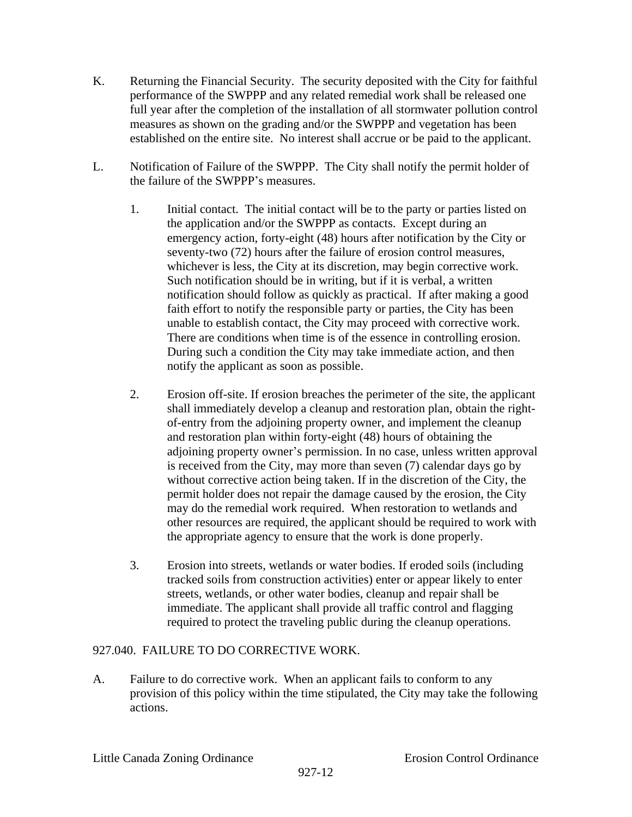- K. Returning the Financial Security. The security deposited with the City for faithful performance of the SWPPP and any related remedial work shall be released one full year after the completion of the installation of all stormwater pollution control measures as shown on the grading and/or the SWPPP and vegetation has been established on the entire site. No interest shall accrue or be paid to the applicant.
- L. Notification of Failure of the SWPPP. The City shall notify the permit holder of the failure of the SWPPP's measures.
	- 1. Initial contact. The initial contact will be to the party or parties listed on the application and/or the SWPPP as contacts. Except during an emergency action, forty-eight (48) hours after notification by the City or seventy-two (72) hours after the failure of erosion control measures, whichever is less, the City at its discretion, may begin corrective work. Such notification should be in writing, but if it is verbal, a written notification should follow as quickly as practical. If after making a good faith effort to notify the responsible party or parties, the City has been unable to establish contact, the City may proceed with corrective work. There are conditions when time is of the essence in controlling erosion. During such a condition the City may take immediate action, and then notify the applicant as soon as possible.
	- 2. Erosion off-site. If erosion breaches the perimeter of the site, the applicant shall immediately develop a cleanup and restoration plan, obtain the rightof-entry from the adjoining property owner, and implement the cleanup and restoration plan within forty-eight (48) hours of obtaining the adjoining property owner's permission. In no case, unless written approval is received from the City, may more than seven (7) calendar days go by without corrective action being taken. If in the discretion of the City, the permit holder does not repair the damage caused by the erosion, the City may do the remedial work required. When restoration to wetlands and other resources are required, the applicant should be required to work with the appropriate agency to ensure that the work is done properly.
	- 3. Erosion into streets, wetlands or water bodies. If eroded soils (including tracked soils from construction activities) enter or appear likely to enter streets, wetlands, or other water bodies, cleanup and repair shall be immediate. The applicant shall provide all traffic control and flagging required to protect the traveling public during the cleanup operations.

# 927.040. FAILURE TO DO CORRECTIVE WORK.

A. Failure to do corrective work. When an applicant fails to conform to any provision of this policy within the time stipulated, the City may take the following actions.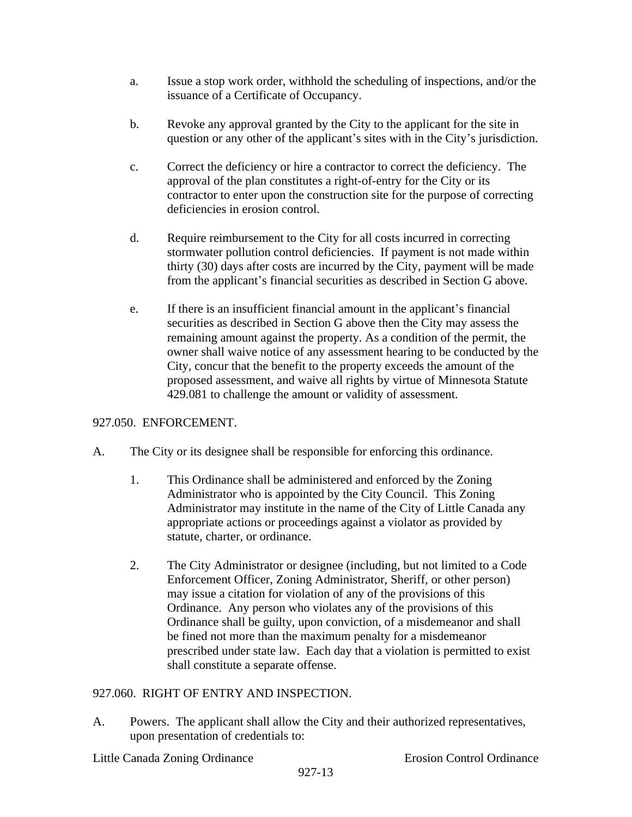- a. Issue a stop work order, withhold the scheduling of inspections, and/or the issuance of a Certificate of Occupancy.
- b. Revoke any approval granted by the City to the applicant for the site in question or any other of the applicant's sites with in the City's jurisdiction.
- c. Correct the deficiency or hire a contractor to correct the deficiency. The approval of the plan constitutes a right-of-entry for the City or its contractor to enter upon the construction site for the purpose of correcting deficiencies in erosion control.
- d. Require reimbursement to the City for all costs incurred in correcting stormwater pollution control deficiencies. If payment is not made within thirty (30) days after costs are incurred by the City, payment will be made from the applicant's financial securities as described in Section G above.
- e. If there is an insufficient financial amount in the applicant's financial securities as described in Section G above then the City may assess the remaining amount against the property. As a condition of the permit, the owner shall waive notice of any assessment hearing to be conducted by the City, concur that the benefit to the property exceeds the amount of the proposed assessment, and waive all rights by virtue of Minnesota Statute 429.081 to challenge the amount or validity of assessment.

# 927.050. ENFORCEMENT.

- A. The City or its designee shall be responsible for enforcing this ordinance.
	- 1. This Ordinance shall be administered and enforced by the Zoning Administrator who is appointed by the City Council. This Zoning Administrator may institute in the name of the City of Little Canada any appropriate actions or proceedings against a violator as provided by statute, charter, or ordinance.
	- 2. The City Administrator or designee (including, but not limited to a Code Enforcement Officer, Zoning Administrator, Sheriff, or other person) may issue a citation for violation of any of the provisions of this Ordinance. Any person who violates any of the provisions of this Ordinance shall be guilty, upon conviction, of a misdemeanor and shall be fined not more than the maximum penalty for a misdemeanor prescribed under state law. Each day that a violation is permitted to exist shall constitute a separate offense.

# 927.060. RIGHT OF ENTRY AND INSPECTION.

A. Powers. The applicant shall allow the City and their authorized representatives, upon presentation of credentials to: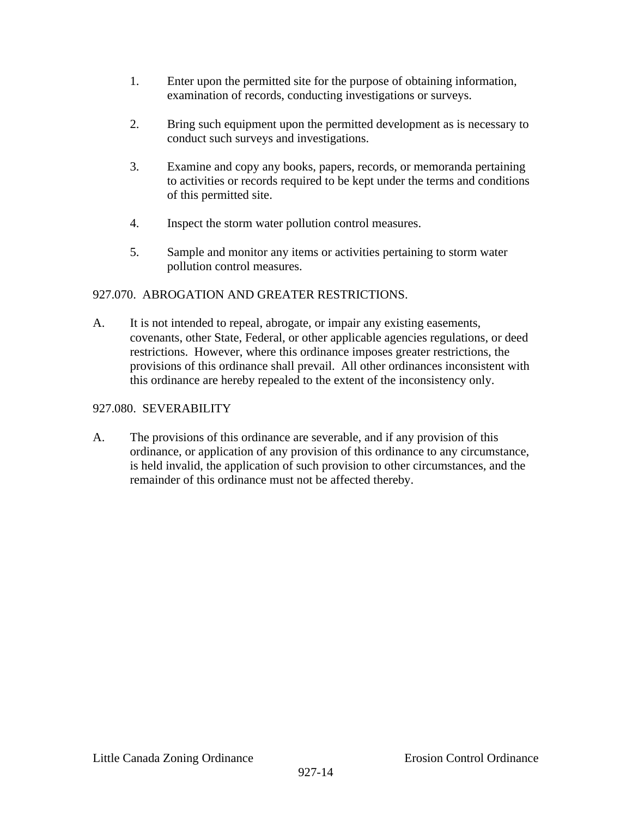- 1. Enter upon the permitted site for the purpose of obtaining information, examination of records, conducting investigations or surveys.
- 2. Bring such equipment upon the permitted development as is necessary to conduct such surveys and investigations.
- 3. Examine and copy any books, papers, records, or memoranda pertaining to activities or records required to be kept under the terms and conditions of this permitted site.
- 4. Inspect the storm water pollution control measures.
- 5. Sample and monitor any items or activities pertaining to storm water pollution control measures.

# 927.070. ABROGATION AND GREATER RESTRICTIONS.

A. It is not intended to repeal, abrogate, or impair any existing easements, covenants, other State, Federal, or other applicable agencies regulations, or deed restrictions. However, where this ordinance imposes greater restrictions, the provisions of this ordinance shall prevail. All other ordinances inconsistent with this ordinance are hereby repealed to the extent of the inconsistency only.

# 927.080. SEVERABILITY

A. The provisions of this ordinance are severable, and if any provision of this ordinance, or application of any provision of this ordinance to any circumstance, is held invalid, the application of such provision to other circumstances, and the remainder of this ordinance must not be affected thereby.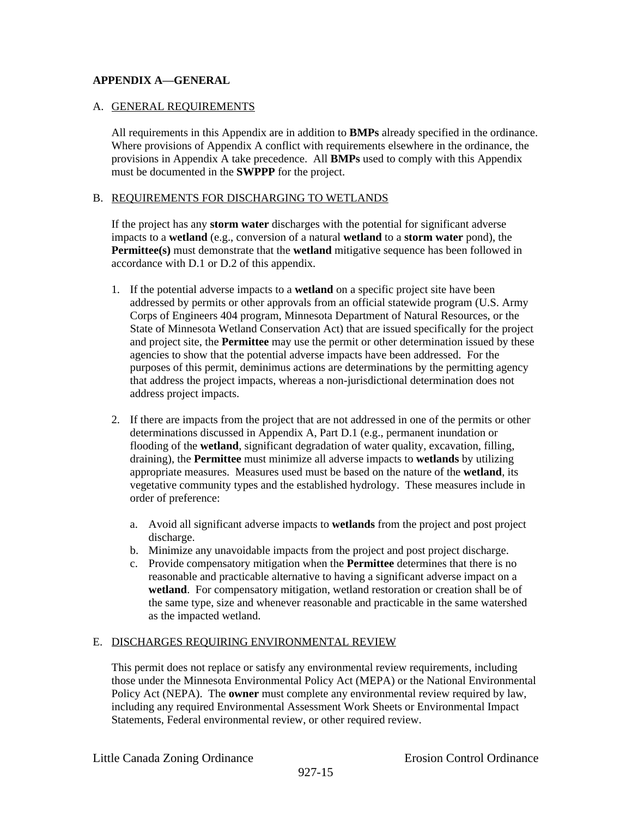### **APPENDIX A—GENERAL**

#### A. GENERAL REQUIREMENTS

All requirements in this Appendix are in addition to **BMPs** already specified in the ordinance. Where provisions of Appendix A conflict with requirements elsewhere in the ordinance, the provisions in Appendix A take precedence. All **BMPs** used to comply with this Appendix must be documented in the **SWPPP** for the project.

#### B. REQUIREMENTS FOR DISCHARGING TO WETLANDS

If the project has any **storm water** discharges with the potential for significant adverse impacts to a **wetland** (e.g., conversion of a natural **wetland** to a **storm water** pond), the **Permittee(s)** must demonstrate that the **wetland** mitigative sequence has been followed in accordance with D.1 or D.2 of this appendix.

- 1. If the potential adverse impacts to a **wetland** on a specific project site have been addressed by permits or other approvals from an official statewide program (U.S. Army Corps of Engineers 404 program, Minnesota Department of Natural Resources, or the State of Minnesota Wetland Conservation Act) that are issued specifically for the project and project site, the **Permittee** may use the permit or other determination issued by these agencies to show that the potential adverse impacts have been addressed. For the purposes of this permit, deminimus actions are determinations by the permitting agency that address the project impacts, whereas a non-jurisdictional determination does not address project impacts.
- 2. If there are impacts from the project that are not addressed in one of the permits or other determinations discussed in Appendix A, Part D.1 (e.g., permanent inundation or flooding of the **wetland**, significant degradation of water quality, excavation, filling, draining), the **Permittee** must minimize all adverse impacts to **wetlands** by utilizing appropriate measures. Measures used must be based on the nature of the **wetland**, its vegetative community types and the established hydrology. These measures include in order of preference:
	- a. Avoid all significant adverse impacts to **wetlands** from the project and post project discharge.
	- b. Minimize any unavoidable impacts from the project and post project discharge.
	- c. Provide compensatory mitigation when the **Permittee** determines that there is no reasonable and practicable alternative to having a significant adverse impact on a **wetland**. For compensatory mitigation, wetland restoration or creation shall be of the same type, size and whenever reasonable and practicable in the same watershed as the impacted wetland.

#### E. DISCHARGES REQUIRING ENVIRONMENTAL REVIEW

This permit does not replace or satisfy any environmental review requirements, including those under the Minnesota Environmental Policy Act (MEPA) or the National Environmental Policy Act (NEPA). The **owner** must complete any environmental review required by law, including any required Environmental Assessment Work Sheets or Environmental Impact Statements, Federal environmental review, or other required review.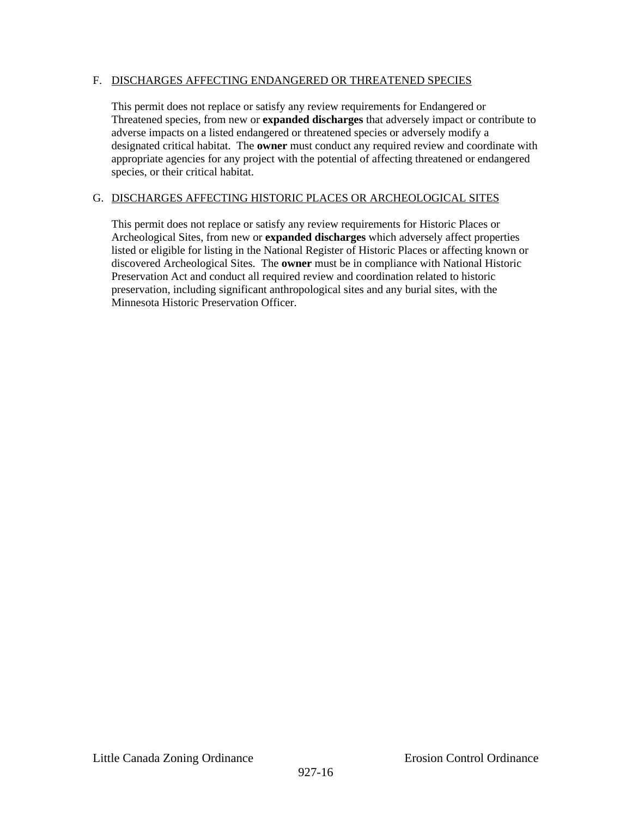### F. DISCHARGES AFFECTING ENDANGERED OR THREATENED SPECIES

This permit does not replace or satisfy any review requirements for Endangered or Threatened species, from new or **expanded discharges** that adversely impact or contribute to adverse impacts on a listed endangered or threatened species or adversely modify a designated critical habitat. The **owner** must conduct any required review and coordinate with appropriate agencies for any project with the potential of affecting threatened or endangered species, or their critical habitat.

### G. DISCHARGES AFFECTING HISTORIC PLACES OR ARCHEOLOGICAL SITES

This permit does not replace or satisfy any review requirements for Historic Places or Archeological Sites, from new or **expanded discharges** which adversely affect properties listed or eligible for listing in the National Register of Historic Places or affecting known or discovered Archeological Sites. The **owner** must be in compliance with National Historic Preservation Act and conduct all required review and coordination related to historic preservation, including significant anthropological sites and any burial sites, with the Minnesota Historic Preservation Officer.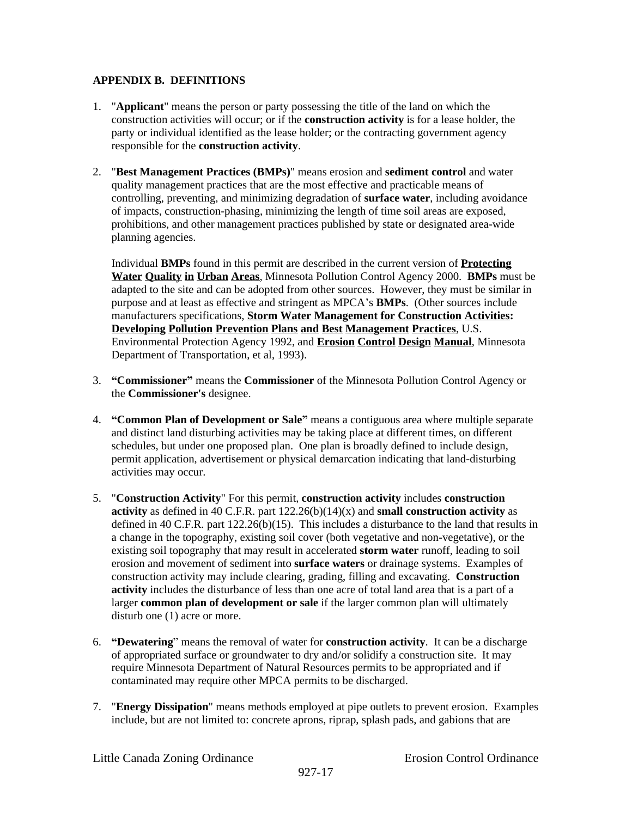### **APPENDIX B. DEFINITIONS**

- 1. "**Applicant**" means the person or party possessing the title of the land on which the construction activities will occur; or if the **construction activity** is for a lease holder, the party or individual identified as the lease holder; or the contracting government agency responsible for the **construction activity**.
- 2. "**Best Management Practices (BMPs)**" means erosion and **sediment control** and water quality management practices that are the most effective and practicable means of controlling, preventing, and minimizing degradation of **surface water**, including avoidance of impacts, construction-phasing, minimizing the length of time soil areas are exposed, prohibitions, and other management practices published by state or designated area-wide planning agencies.

Individual **BMPs** found in this permit are described in the current version of **Protecting Water Quality in Urban Areas**, Minnesota Pollution Control Agency 2000. **BMPs** must be adapted to the site and can be adopted from other sources. However, they must be similar in purpose and at least as effective and stringent as MPCA's **BMPs**. (Other sources include manufacturers specifications, **Storm Water Management for Construction Activities: Developing Pollution Prevention Plans and Best Management Practices**, U.S. Environmental Protection Agency 1992, and **Erosion Control Design Manual**, Minnesota Department of Transportation, et al, 1993).

- 3. **"Commissioner"** means the **Commissioner** of the Minnesota Pollution Control Agency or the **Commissioner's** designee.
- 4. **"Common Plan of Development or Sale"** means a contiguous area where multiple separate and distinct land disturbing activities may be taking place at different times, on different schedules, but under one proposed plan. One plan is broadly defined to include design, permit application, advertisement or physical demarcation indicating that land-disturbing activities may occur.
- 5. "**Construction Activity**" For this permit, **construction activity** includes **construction activity** as defined in 40 C.F.R. part 122.26(b)(14)(x) and **small construction activity** as defined in 40 C.F.R. part  $122.26(b)(15)$ . This includes a disturbance to the land that results in a change in the topography, existing soil cover (both vegetative and non-vegetative), or the existing soil topography that may result in accelerated **storm water** runoff, leading to soil erosion and movement of sediment into **surface waters** or drainage systems. Examples of construction activity may include clearing, grading, filling and excavating. **Construction activity** includes the disturbance of less than one acre of total land area that is a part of a larger **common plan of development or sale** if the larger common plan will ultimately disturb one  $(1)$  acre or more.
- 6. **"Dewatering**" means the removal of water for **construction activity**. It can be a discharge of appropriated surface or groundwater to dry and/or solidify a construction site. It may require Minnesota Department of Natural Resources permits to be appropriated and if contaminated may require other MPCA permits to be discharged.
- 7. "**Energy Dissipation**" means methods employed at pipe outlets to prevent erosion. Examples include, but are not limited to: concrete aprons, riprap, splash pads, and gabions that are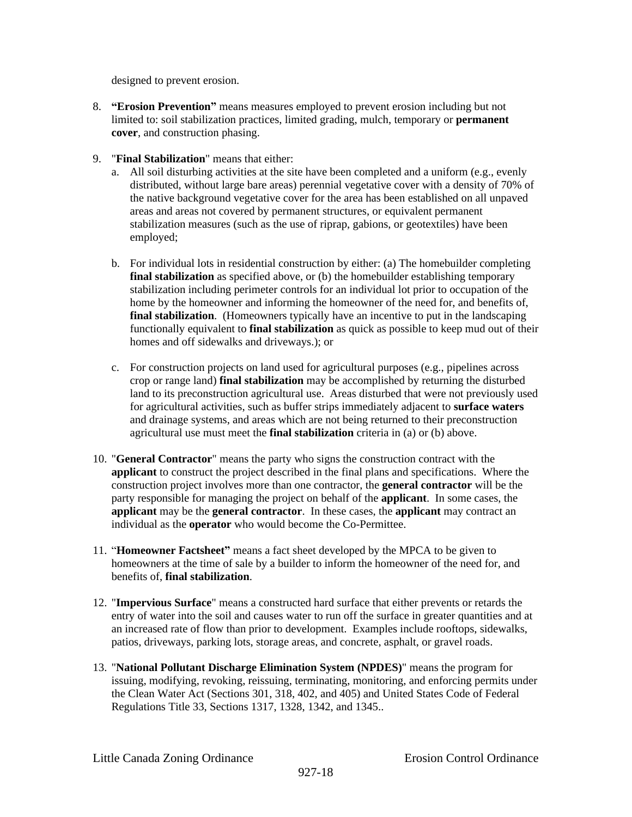designed to prevent erosion.

- 8. **"Erosion Prevention"** means measures employed to prevent erosion including but not limited to: soil stabilization practices, limited grading, mulch, temporary or **permanent cover**, and construction phasing.
- 9. "**Final Stabilization**" means that either:
	- a. All soil disturbing activities at the site have been completed and a uniform (e.g., evenly distributed, without large bare areas) perennial vegetative cover with a density of 70% of the native background vegetative cover for the area has been established on all unpaved areas and areas not covered by permanent structures, or equivalent permanent stabilization measures (such as the use of riprap, gabions, or geotextiles) have been employed;
	- b. For individual lots in residential construction by either: (a) The homebuilder completing **final stabilization** as specified above, or (b) the homebuilder establishing temporary stabilization including perimeter controls for an individual lot prior to occupation of the home by the homeowner and informing the homeowner of the need for, and benefits of, **final stabilization**. (Homeowners typically have an incentive to put in the landscaping functionally equivalent to **final stabilization** as quick as possible to keep mud out of their homes and off sidewalks and driveways.); or
	- c. For construction projects on land used for agricultural purposes (e.g., pipelines across crop or range land) **final stabilization** may be accomplished by returning the disturbed land to its preconstruction agricultural use. Areas disturbed that were not previously used for agricultural activities, such as buffer strips immediately adjacent to **surface waters** and drainage systems, and areas which are not being returned to their preconstruction agricultural use must meet the **final stabilization** criteria in (a) or (b) above.
- 10. "**General Contractor**" means the party who signs the construction contract with the **applicant** to construct the project described in the final plans and specifications. Where the construction project involves more than one contractor, the **general contractor** will be the party responsible for managing the project on behalf of the **applicant**. In some cases, the **applicant** may be the **general contractor**. In these cases, the **applicant** may contract an individual as the **operator** who would become the Co-Permittee.
- 11. "**Homeowner Factsheet"** means a fact sheet developed by the MPCA to be given to homeowners at the time of sale by a builder to inform the homeowner of the need for, and benefits of, **final stabilization**.
- 12. "**Impervious Surface**" means a constructed hard surface that either prevents or retards the entry of water into the soil and causes water to run off the surface in greater quantities and at an increased rate of flow than prior to development. Examples include rooftops, sidewalks, patios, driveways, parking lots, storage areas, and concrete, asphalt, or gravel roads.
- 13. "**National Pollutant Discharge Elimination System (NPDES)**" means the program for issuing, modifying, revoking, reissuing, terminating, monitoring, and enforcing permits under the Clean Water Act (Sections 301, 318, 402, and 405) and United States Code of Federal Regulations Title 33, Sections 1317, 1328, 1342, and 1345..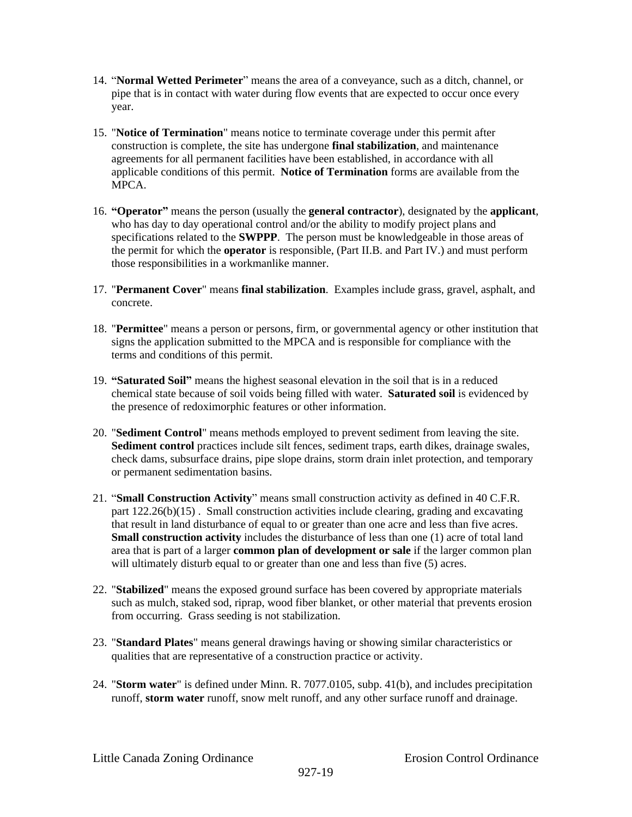- 14. "**Normal Wetted Perimeter**" means the area of a conveyance, such as a ditch, channel, or pipe that is in contact with water during flow events that are expected to occur once every year.
- 15. "**Notice of Termination**" means notice to terminate coverage under this permit after construction is complete, the site has undergone **final stabilization**, and maintenance agreements for all permanent facilities have been established, in accordance with all applicable conditions of this permit. **Notice of Termination** forms are available from the MPCA.
- 16. **"Operator"** means the person (usually the **general contractor**), designated by the **applicant**, who has day to day operational control and/or the ability to modify project plans and specifications related to the **SWPPP**. The person must be knowledgeable in those areas of the permit for which the **operator** is responsible, (Part II.B. and Part IV.) and must perform those responsibilities in a workmanlike manner.
- 17. "**Permanent Cover**" means **final stabilization**. Examples include grass, gravel, asphalt, and concrete.
- 18. "**Permittee**" means a person or persons, firm, or governmental agency or other institution that signs the application submitted to the MPCA and is responsible for compliance with the terms and conditions of this permit.
- 19. **"Saturated Soil"** means the highest seasonal elevation in the soil that is in a reduced chemical state because of soil voids being filled with water. **Saturated soil** is evidenced by the presence of redoximorphic features or other information.
- 20. "**Sediment Control**" means methods employed to prevent sediment from leaving the site. **Sediment control** practices include silt fences, sediment traps, earth dikes, drainage swales, check dams, subsurface drains, pipe slope drains, storm drain inlet protection, and temporary or permanent sedimentation basins.
- 21. "**Small Construction Activity**" means small construction activity as defined in 40 C.F.R. part 122.26(b)(15) . Small construction activities include clearing, grading and excavating that result in land disturbance of equal to or greater than one acre and less than five acres. **Small construction activity** includes the disturbance of less than one (1) acre of total land area that is part of a larger **common plan of development or sale** if the larger common plan will ultimately disturb equal to or greater than one and less than five (5) acres.
- 22. "**Stabilized**" means the exposed ground surface has been covered by appropriate materials such as mulch, staked sod, riprap, wood fiber blanket, or other material that prevents erosion from occurring. Grass seeding is not stabilization.
- 23. "**Standard Plates**" means general drawings having or showing similar characteristics or qualities that are representative of a construction practice or activity.
- 24. "**Storm water**" is defined under Minn. R. 7077.0105, subp. 41(b), and includes precipitation runoff, **storm water** runoff, snow melt runoff, and any other surface runoff and drainage.